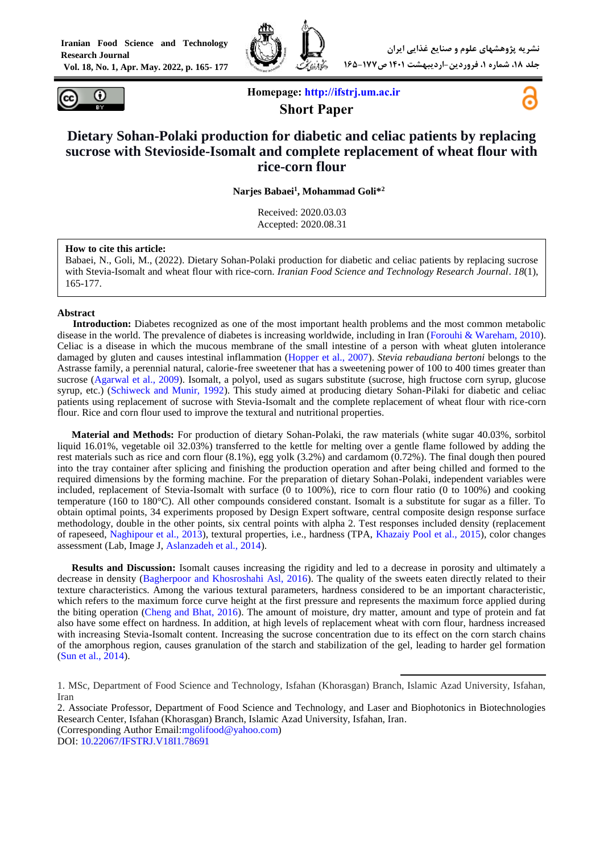**Iranian Food Science and Technology Research Journal Vol. 18, No. 1, Apr. May. 2022, p. 165- 177**





**Homepage: [http://ifstrj.um.ac.ir](http://ifstrj.um.ac.ir/) Short Paper**



# **Dietary Sohan-Polaki production for diabetic and celiac patients by replacing sucrose with Stevioside-Isomalt and complete replacement of wheat flour with rice-corn flour**

**Narjes Babaei<sup>1</sup> , Mohammad Goli\*<sup>2</sup>**

Received: 2020.03.03 Accepted: 2020.08.31

#### **How to cite this article:**

Babaei, N., Goli, M., (2022). Dietary Sohan-Polaki production for diabetic and celiac patients by replacing sucrose with Stevia-Isomalt and wheat flour with rice-corn. *Iranian Food Science and Technology Research Journal*. *18*(1), 165-177.

#### **Abstract**

**<sup>1</sup>Introduction:** Diabetes recognized as one of the most important health problems and the most common metabolic disease in the world. The prevalence of diabetes is increasing worldwide, including in Iran [\(Forouhi & Wareham, 2010\)](#page-12-0). Celiac is a disease in which the mucous membrane of the small intestine of a person with wheat gluten intolerance damaged by gluten and causes intestinal inflammation [\(Hopper et al., 2007\)](#page-12-1). *Stevia rebaudiana bertoni* belongs to the Astrasse family, a perennial natural, calorie-free sweetener that has a sweetening power of 100 to 400 times greater than sucrose [\(Agarwal et al., 2009\)](#page-11-0). Isomalt, a polyol, used as sugars substitute (sucrose, high fructose corn syrup, glucose syrup, etc.) [\(Schiweck and Munir, 1992\)](#page-12-2). This study aimed at producing dietary Sohan-Pilaki for diabetic and celiac patients using replacement of sucrose with Stevia-Isomalt and the complete replacement of wheat flour with rice-corn flour. Rice and corn flour used to improve the textural and nutritional properties.

**Material and Methods:** For production of dietary Sohan-Polaki, the raw materials (white sugar 40.03%, sorbitol liquid 16.01%, vegetable oil 32.03%) transferred to the kettle for melting over a gentle flame followed by adding the rest materials such as rice and corn flour (8.1%), egg yolk (3.2%) and cardamom (0.72%). The final dough then poured into the tray container after splicing and finishing the production operation and after being chilled and formed to the required dimensions by the forming machine. For the preparation of dietary Sohan-Polaki, independent variables were included, replacement of Stevia-Isomalt with surface (0 to 100%), rice to corn flour ratio (0 to 100%) and cooking temperature (160 to 180°C). All other compounds considered constant. Isomalt is a substitute for sugar as a filler. To obtain optimal points, 34 experiments proposed by Design Expert software, central composite design response surface methodology, double in the other points, six central points with alpha 2. Test responses included density (replacement of rapeseed, [Naghipour et al., 2013\)](#page-12-3), textural properties, i.e., hardness (TPA, [Khazaiy Pool et al., 2015\)](#page-12-4), color changes assessment (Lab, Image J, [Aslanzadeh et al., 2014\)](#page-11-1).

**Results and Discussion:** Isomalt causes increasing the rigidity and led to a decrease in porosity and ultimately a decrease in density [\(Bagherpoor and Khosroshahi Asl, 2016\)](#page-11-2). The quality of the sweets eaten directly related to their texture characteristics. Among the various textural parameters, hardness considered to be an important characteristic, which refers to the maximum force curve height at the first pressure and represents the maximum force applied during the biting operation [\(Cheng and Bhat, 2016\)](#page-11-3). The amount of moisture, dry matter, amount and type of protein and fat also have some effect on hardness. In addition, at high levels of replacement wheat with corn flour, hardness increased with increasing Stevia-Isomalt content. Increasing the sucrose concentration due to its effect on the corn starch chains of the amorphous region, causes granulation of the starch and stabilization of the gel, leading to harder gel formation (Sun [et al., 2014\)](#page-12-5).

-

2. Associate Professor, Department of Food Science and Technology, and Laser and Biophotonics in Biotechnologies Research Center, Isfahan (Khorasgan) Branch, Islamic Azad University, Isfahan, Iran. (Corresponding Author Email[:mgolifood@yahoo.com\)](mailto:mgolifood@yahoo.com)

DOI[:](https://dx.doi.org/10.22067/ifstrj.v18i1.78691) [10.22067/IFSTRJ.V18I1.78691](https://dx.doi.org/10.22067/ifstrj.v18i1.78691)

<sup>1.</sup> MSc, Department of Food Science and Technology, Isfahan (Khorasgan) Branch, Islamic Azad University, Isfahan, Iran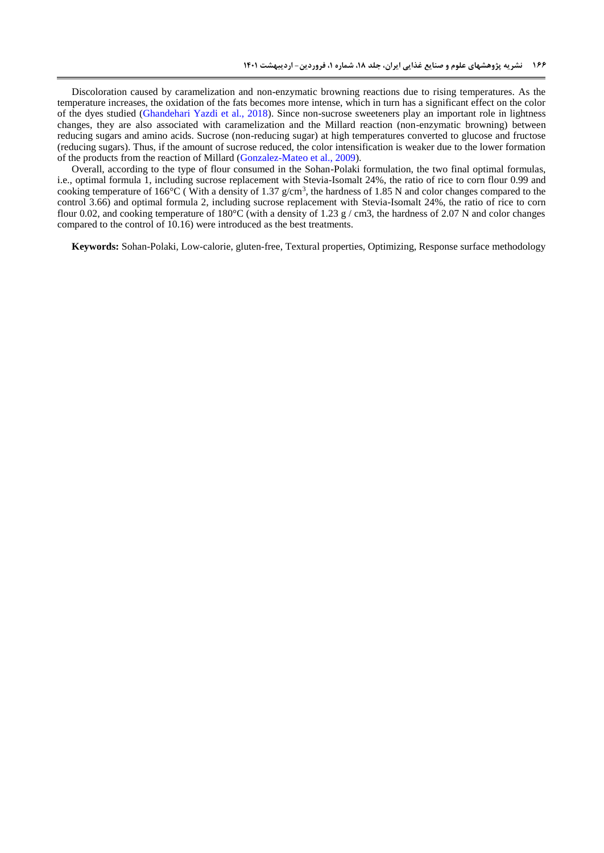Discoloration caused by caramelization and non-enzymatic browning reactions due to rising temperatures. As the temperature increases, the oxidation of the fats becomes more intense, which in turn has a significant effect on the color of the dyes studied [\(Ghandehari Yazdi et al., 2018\)](#page-12-6). Since non-sucrose sweeteners play an important role in lightness changes, they are also associated with caramelization and the Millard reaction (non-enzymatic browning) between reducing sugars and amino acids. Sucrose (non-reducing sugar) at high temperatures converted to glucose and fructose (reducing sugars). Thus, if the amount of sucrose reduced, the color intensification is weaker due to the lower formation of the products from the reaction of Millard [\(Gonzalez-Mateo et al., 2009\)](#page-12-7).

Overall, according to the type of flour consumed in the Sohan-Polaki formulation, the two final optimal formulas, i.e., optimal formula 1, including sucrose replacement with Stevia-Isomalt 24%, the ratio of rice to corn flour 0.99 and cooking temperature of 166 $^{\circ}$ C (With a density of 1.37 g/cm<sup>3</sup>, the hardness of 1.85 N and color changes compared to the control 3.66) and optimal formula 2, including sucrose replacement with Stevia-Isomalt 24%, the ratio of rice to corn flour 0.02, and cooking temperature of 180 $^{\circ}$ C (with a density of 1.23 g / cm3, the hardness of 2.07 N and color changes compared to the control of 10.16) were introduced as the best treatments.

**Keywords:** Sohan-Polaki, Low-calorie, gluten-free, Textural properties, Optimizing, Response surface methodology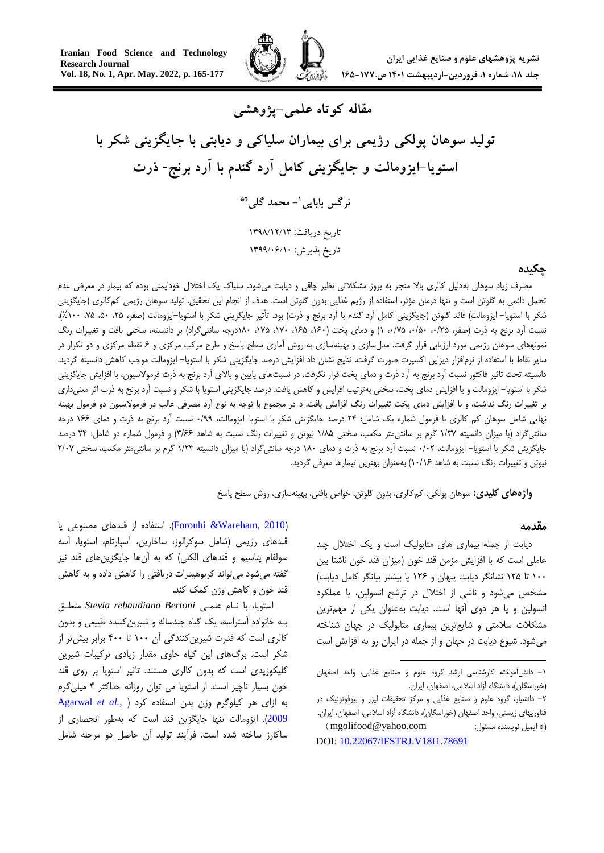

**مقاله کوتاه علمی-پژوهشی**

# **تولید سوهان پولکی رژیمی برای بیماران سلیاکی و دیابتی با جایگزینی شکر با استویا-ایزومالت و جایگزینی کامل آرد گندم با آرد برنج- ذرت**

**- محمد گلی <sup>1</sup> نرگس بابایی \*2**

تاریخ دریافت: 3131/31/31 تاریخ پذیرش: 3133/10/31

#### **چکیده**

مصرف زیاد سوهان بهدلیل کالری باال منجر به بروز مشکالتی نظیر چاقی و دیابت میشود. سلیاک یک اختالل خودایمنی بوده که بیمار در معرض عدم تحمل دائمی به گلوتن است و تنها درمان مؤثر، استفاده از رژیم غذایی بدون گلوتن است. هدف از انجام این تحقیق، تولید سوهان رژیمی کمکالری )جایگزینی شکر با استویا– ایزومالت) فاقد گلوتن (جایگزینی کامل آرد گندم با آرد برنج و ذرت) بود. تأثیر جایگزینی شکر با استویا–ایزومالت (صفر، ۲۵، ۵۰، ۲۰۰٪)، نسبت آرد برنج به ذرت (صفر، ۰/۲۵، ۰/۵۰، ۱/۵٪ ، ۱/۵، ۱۶۵، ۱۶۰، ۱۷۵، ۱۷۵، ۱۸۰درجه سانتیگراد) بر دانسیته، سختی بافت و تغییرات رنگ نمونههای سوهان رژیمی مورد ارزیابی قرار گرفت. مدلسازی و بهینهسازی به روش آماری سطح پاسخ و طرح مرکب مرکزی و 6 نقطه مرکزی و دو تکرار در سایر نقاط با استفاده از نرمافزار دیزاین اکسپرت صورت گرفت. نتایج نشان داد افزایش درصد جایگزینی شکر با استویا- ایزومالت موجب کاهش دانسیته گردید. دانسیته تحت تاثیر فاکتور نسبت آرد برنج به آرد ذرت و دمای پخت قرار نگرفت. در نسبتهای پایین و باالی آرد برنج به ذرت فرموالسیون، با افزایش جایگزینی شکر با استویا- ایزومالت و یا افزایش دمای پخت، سختی بهترتیب افزایش و کاهش یافت. درصد جایگزینی استویا با شکر و نسبت آرد برنج به ذرت اثر معنیداری بر تغییرات رنگ نداشت، و با افزایش دمای پخت تغییرات رنگ افزایش یافت. د در مجموع با توجه به نوع آرد مصرفی غالب در فرموالسیون دو فرمول بهینه نهایی شامل سوهان کم کالری با فرمول شماره یک شامل: 52 درصد جایگزینی شکر با استویا-ایزومالت، 5/99 نسبت آرد برنج به ذرت و دمای 066 درجه سانتیگراد (با میزان دانسیته ۱/۳۷ گرم بر سانتیمتر مکعب، سختی ۱/۸۵ نیوتن و تغییرات رنگ نسبت به شاهد ۳/۶۶) و فرمول شماره دو شامل: ۲۴ درصد جایگزینی شکر با استویا- ایزومالت، 5/55 نسبت آرد برنج به ذرت و دمای 085 درجه سانتیگراد )با میزان دانسیته 0/57 گرم بر سانتیمتر مکعب، سختی 5/55 نیوتن و تغییرات رنگ نسبت به شاهد 05/06( بهعنوان بهترین تیمارها معرفی گردید.

**واژههای کلیدی:** سوهان پولکی، کمکالری، بدون گلوتن، خواص بافتی، بهینهسازی، روش سطح پاسخ

#### **مقدمه**

دیابت از جمله بیماری های متابولیک است و یک اختالل چند عاملی است که با افزایش مزمن قند خون )میزان قند خون ناشتا بین 055 تا 052 نشانگر دیابت پنهان و 056 یا بیشتر بیانگر کامل دیابت( مشخص میشود و ناشی از اختالل در ترشح انسولین، یا عملکرد انسولین و یا هر دوی آنها است. دیابت بهعنوان یکی از مهمترین مشکالت سالمتی و شایعترین بیماری متابولیک در جهان شناخته میشود. شیوع دیابت در جهان و از جمله در ایران رو به افزایش است

<u>.</u>

)[2010 ,Wareham &Forouhi](#page-12-0)). استفاده از قندهای مصنوعی یا قندهای رژیمی )شامل سوکرالوز، ساخارین، آسپارتام، استویا، آسه سولفام پتاسیم و قندهای الکلی) که به آنها جایگزینهای قند نیز گفته میشود میتواند کربوهیدرات دریافتی را کاهش داده و به کاهش قند خون و کاهش وزن کمک کند.

استویا، با نـام علمـی *Bertoni rebaudiana Stevia* متعلـق بـه خانواده آستراسه، یک گیاه چندساله و شیرینکننده طبیعی و بدون کالری است که قدرت شیرین کنندگی آن ۱۰۰ تا ۴۰۰ برابر بیش تر از شکر است. برگهای این گیاه حاوی مقدار زیادی ترکیبات شیرین گلیکوزیدی است که بدون کالری هستند. تاثیر استویا بر روی قند خون بسیار ناچیز است. از استویا می توان روزانه حداکثر 2 میلیگرم به ازای هر کیلوگرم وزن بدن استفاده کرد [\)](#page-11-0) *.*,*al et* [Agarwal](#page-11-0) [2009](#page-11-0)(. ایزومالت تنها جایگزین قند است که بهطور انحصاری از ساکارز ساخته شده است. فرآیند تولید آن حاصل دو مرحله شامل

<sup>-0</sup> دانشآموخته کارشناسی ارشد گروه علوم و صنایع غذایی، واحد اصفهان )خوراسگان(، دانشگاه آزاد اسالمی، اصفهان، ایران.

<sup>-5</sup> دانشیار، گروه علوم و صنایع غذایی و مرکز تحقیقات لیزر و بیوفوتونیک در فناوریهای زیستی، واحد اصفهان (خوراسگان)، دانشگاه آزاد اسلامی، اصفهان، ایران. )\* ایمیل نویسنده مسئول: com.yahoo@mgolifood) DOI[:](https://dx.doi.org/10.22067/ifstrj.v18i1.78691) [10.22067/IFSTRJ.V18I1.78691](https://dx.doi.org/10.22067/ifstrj.v18i1.78691)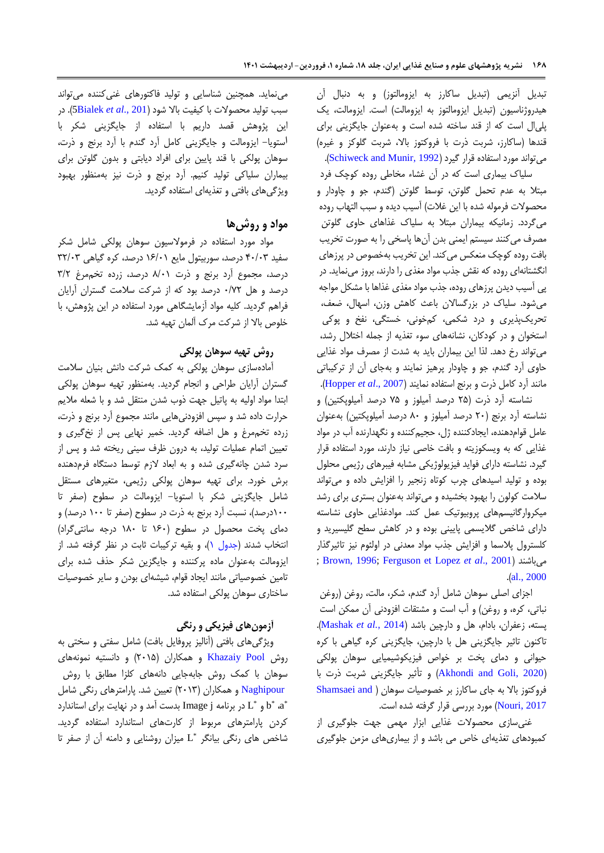تبدیل آنزیمی )تبدیل ساکارز به ایزومالتوز( و به دنبال آن هیدروژناسیون (تبدیل ایزومالتوز به ایزومالت) است. ایزومالت، یک پلیال است که از قند ساخته شده است و بهعنوان جایگزینی برای قندها (ساکارز، شربت ذرت با فروکتوز بالا، شربت گلوکز و غیره) میتواند مورد استفاده قرار گیرد (Schiweck and Munir, 1992).

سلیاک بیماری است که در آن غشاء مخاطی روده کوچک فرد مبتال به عدم تحمل گلوتن، توسط گلوتن )گندم، جو و چاودار و محصولات فرموله شده با این غلات) آسیب دیده و سبب التهاب روده میگردد. زمانیکه بیماران مبتال به سلیاک غذاهای حاوی گلوتن مصرف میکنند سیستم ایمنی بدن آنها پاسخی را به صورت تخریب بافت روده کوچک منعکس میکند. این تخریب بهخصوص در پرزهای انگشتانهای روده که نقش جذب مواد مغذی را دارند، بروز مینماید. در پی آسیب دیدن پرزهای روده، جذب مواد مغذی غذاها با مشکل مواجه میشود. سلیاک در بزرگساالن باعث کاهش وزن، اسهال، ضعف، تحریکپذیری و درد شکمی، کمخونی، خستگی، نفخ و پوکی استخوان و در کودکان، نشانههای سوء تغذیه از جمله اختالل رشد، میتواند رخ دهد. لذا این بیماران باید به شدت از مصرف مواد غذایی حاوی آرد گندم، جو و چاودار پرهیز نمایند و بهجای آن از ترکیباتی مانند آرد کامل ذرت و برنج استفاده نمایند )2007 .,*al et* [Hopper](#page-12-1)).

نشاسته آرد ذرت )52 درصد آمیلوز و 52 درصد آمیلوپکتین( و نشاسته آرد برنج (٢٠ درصد آمیلوز و ٨٠ درصد آمیلوپکتین) بهعنوان عامل قوامدهنده، ایجادکننده ژل، حجیمکننده و نگهدارنده آب در مواد غذایی که به ویسکوزیته و بافت خاصی نیاز دارند، مورد استفاده قرار گیرد. نشاسته دارای فواید فیزیولوژیکی مشابه فیبرهای رژیمی محلول بوده و تولید اسیدهای چرب کوتاه زنجیر را افزایش داده و میتواند سالمت کولون را بهبود بخشیده و میتواند بهعنوان بستری برای رشد میکروارگانیسمهای پروبیوتیک عمل کند. موادغذایی حاوی نشاسته دارای شاخص گالیسمی پایینی بوده و در کاهش سطح گلیسیرید و کلسترول پالسما و افزایش جذب مواد معدنی در اولئوم نیز تاثیرگذار ; [Brown, 1996;](#page-11-4) [Ferguson et](#page-12-9) [Lopez](#page-12-8) *et al*., 2001( میباشند .)[al., 2000](#page-12-9)

اجزای اصلی سوهان شامل آرد گندم، شکر، مالت، روغن )روغن نباتی، کره، و روغن) و آب است و مشتقات افزودنی آن ممکن است پسته، زعفران، بادام، هل و دارچین باشد )2014 *.*,*al et* [Mashak](#page-12-10)). تاکنون تاثیر جایگزینی هل با دارچین، جایگزینی کره گیاهی با کره حیوانی و دمای پخت بر خواص فیزیکوشیمیایی سوهان پولکی )[2020 ,Goli and Akhondi](#page-11-5) )و تأثیر جایگزینی شربت ذرت با فروکتوز بالا به جای ساکارز بر خصوصیات سوهان ( Shamsaei and [2017 ,Nouri](#page-12-11)) مورد بررسی قرار گرفته شده است.

غنیسازی محصوالت غذایی ابزار مهمی جهت جلوگیری از کمبودهای تغذیهای خاص می باشد و از بیماریهای مزمن جلوگیری

مینماید. همچنین شناسایی و تولید فاکتورهای غنیکننده میتواند سبب تولید محصوالت با کیفیت باال شود )201 .,*al et* [Bialek5](#page-11-6)). در این پژوهش قصد داریم با استفاده از جایگزینی شکر با استویا- ایزومالت و جایگزینی کامل آرد گندم با آرد برنج و ذرت، سوهان پولکی با قند پایین برای افراد دیابتی و بدون گلوتن برای بیماران سلیاکی تولید کنیم. آرد برنج و ذرت نیز بهمنظور بهبود ویژگیهای بافتی و تغذیهای استفاده گردید.

## **مواد و روشها**

مواد مورد استفاده در فرموالسیون سوهان پولکی شامل شکر سفید 25/57 درصد، سوربیتول مایع 06/50 درصد، کره گیاهی 75/57 درصد، مجموع آرد برنج و ذرت 8/50 درصد، زرده تخممرغ 7/5 درصد و هل 5/55 درصد بود که از شرکت سالمت گستران آرایان فراهم گردید. کلیه مواد آزمایشگاهی مورد استفاده در این پژوهش، با خلوص باال از شرکت مرک آلمان تهیه شد.

## **روش تهیه سوهان پولکی**

آمادهسازی سوهان پولکی به کمک شرکت دانش بنیان سالمت گستران آرایان طراحی و انجام گردید. بهمنظور تهیه سوهان پولکی ابتدا مواد اولیه به پاتیل جهت ذوب شدن منتقل شد و با شعله مالیم حرارت داده شد و سپس افزودنیهایی مانند مجموع آرد برنج و ذرت، زرده تخممرغ و هل اضافه گردید. خمیر نهایی پس از نخگیری و تعیین اتمام عملیات تولید، به درون ظرف سینی ریخته شد و پس از سرد شدن چانهگیری شده و به ابعاد الزم توسط دستگاه فرمدهنده برش خورد. برای تهیه سوهان پولکی رژیمی، متغیرهای مستقل شامل جایگزینی شکر با استویا- ایزومالت در سطوح )صفر تا ۱۰۰درصد)، نسبت آرد برنج به ذرت در سطوح (صفر تا ۱۰۰ درصد) و دمای پخت محصول در سطوح )065 تا 085 درجه سانتیگراد( انتخاب شدند (جدول ۱)، و بقیه ترکیبات ثابت در نظر گرفته شد. از ایزومالت بهعنوان ماده پرکننده و جایگزین شکر حذف شده برای تامین خصوصیاتی مانند ایجاد قوام، شیشهای بودن و سایر خصوصیات ساختاری سوهان پولکی استفاده شد.

## **آزمونهای فیزیکی و رنگی**

ویژگیهای بافتی (آنالیز پروفایل بافت) شامل سفتی و سختی به روش Khazaiy Pool و همکاران (۲۰۱۵) و دانستیه نمونههای سوهان با کمک روش جابهجایی دانههای کلزا مطابق با روش  [Naghipour](#page-12-3) و همکاران )5507( تعیین شد. پارامترهای رنگی شامل  $\rm{L}^*$  و  $\rm{L}^*$  در برنامه  $\rm{Image}$  بدست آمد و در نهایت برای استاندارد کردن پارامترهای مربوط از کارتهای استاندارد استفاده گردید. \* شاخص های رنگی بیانگر L میزان روشنایی و دامنه آن از صفر تا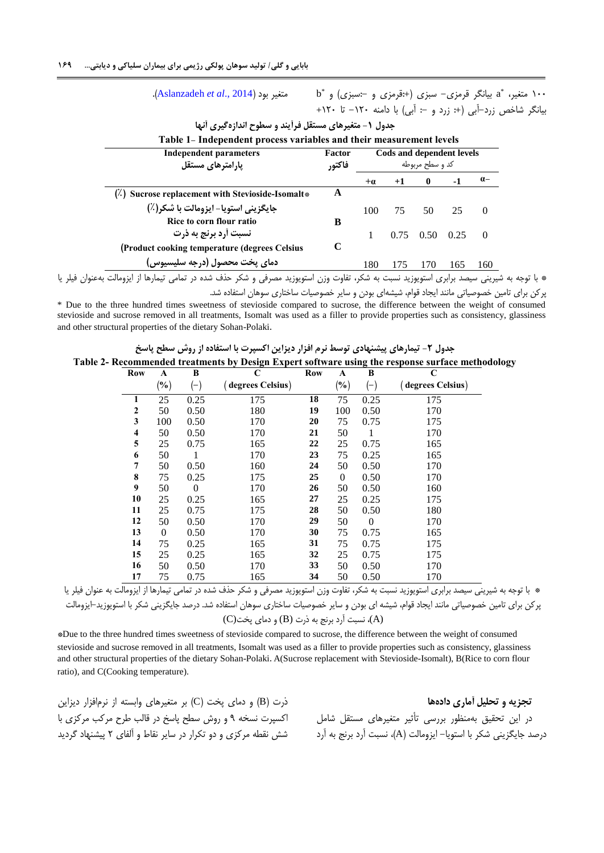.)[Aslanzadeh](#page-11-1) *et al*., 2014( بود متغیر

<span id="page-4-1"></span><span id="page-4-0"></span> $\mathrm{b}^*$  متغیر،  $\mathrm{a}^*$  بیانگر قرمزی $-$  سبزی (+:قرمزی و  $-$ سبزی) و  $\mathrm{b}^*$ بیانگر شاخص زرد-آبی (+: زرد و -: آبی) با دامنه ١٢٠- تا ١٢٠+

| <b>Independent parameters</b><br>یارامترهای مستقل | Factor<br>فاكتور | Cods and dependent levels<br>کد و سطح مربوطه |      |          |      |          |
|---------------------------------------------------|------------------|----------------------------------------------|------|----------|------|----------|
|                                                   |                  | $+ \alpha$                                   | $+1$ | $\bf{0}$ | -1   | $a-$     |
| (2) Sucrose replacement with Stevioside-Isomalt*  | A                |                                              |      |          |      |          |
| جايگزيني استويا- ايزومالت با شكر(٪)               |                  | 100                                          | 75   | 50       | 25   | $\Omega$ |
| Rice to corn flour ratio                          | B                |                                              |      |          |      |          |
| نسبت أرد برنج به ذرت                              |                  |                                              | 0.75 | 0.50     | 0.25 | $\Omega$ |
| (Product cooking temperature (degrees Celsius)    | C                |                                              |      |          |      |          |
| دمای پخت محصول (درجه سلیسیوس)                     |                  | 180                                          | 175  | 170      | 165  | 160      |

**جدول -1 متغیرهای مستقل فرآیند و سطوح اندازهگیری آنها**

## \* با توجه به شیرینی سیصد برابری استویوزید نسبت به شکر، تفاوت وزن استویوزید مصرفی و شکر حذف شده در تمامی تیمارها از ایزومالت بهعنوان فیلر یا پرکن برای تامین خصوصیاتی مانند ایجاد قوام، شیشهای بودن و سایر خصوصیات ساختاری سوهان استفاده شد.

\* Due to the three hundred times sweetness of stevioside compared to sucrose, the difference between the weight of consumed stevioside and sucrose removed in all treatments, Isomalt was used as a filler to provide properties such as consistency, glassiness and other structural properties of the dietary Sohan-Polaki.

**جدول -2 تیمارهای پیشنهادی توسط نرم افزار دیزاین اکسپرت با استفاده از روش سطح پاسخ Table 2- Recommended treatments by Design Expert software using the response surface methodology**

| <b>Row</b>   | A            | B            | $\mathbf C$      | Row | A            | B              | $\mathbf C$      |
|--------------|--------------|--------------|------------------|-----|--------------|----------------|------------------|
|              | $(\%)$       | $(-)$        | degrees Celsius) |     | $(\%)$       | $(-)$          | degrees Celsius) |
| 1            | 25           | 0.25         | 175              | 18  | 75           | 0.25           | 175              |
| $\mathbf{2}$ | 50           | 0.50         | 180              | 19  | 100          | 0.50           | 170              |
| 3            | 100          | 0.50         | 170              | 20  | 75           | 0.75           | 175              |
| 4            | 50           | 0.50         | 170              | 21  | 50           |                | 170              |
| 5            | 25           | 0.75         | 165              | 22  | 25           | 0.75           | 165              |
| 6            | 50           | 1            | 170              | 23  | 75           | 0.25           | 165              |
| 7            | 50           | 0.50         | 160              | 24  | 50           | 0.50           | 170              |
| 8            | 75           | 0.25         | 175              | 25  | $\mathbf{0}$ | 0.50           | 170              |
| 9            | 50           | $\mathbf{0}$ | 170              | 26  | 50           | 0.50           | 160              |
| 10           | 25           | 0.25         | 165              | 27  | 25           | 0.25           | 175              |
| 11           | 25           | 0.75         | 175              | 28  | 50           | 0.50           | 180              |
| 12           | 50           | 0.50         | 170              | 29  | 50           | $\overline{0}$ | 170              |
| 13           | $\mathbf{0}$ | 0.50         | 170              | 30  | 75           | 0.75           | 165              |
| 14           | 75           | 0.25         | 165              | 31  | 75           | 0.75           | 175              |
| 15           | 25           | 0.25         | 165              | 32  | 25           | 0.75           | 175              |
| 16           | 50           | 0.50         | 170              | 33  | 50           | 0.50           | 170              |
| 17           | 75           | 0.75         | 165              | 34  | 50           | 0.50           | 170              |

\* با توجه به شیرینی سیصد برابری استویوزید نسبت به شکر، تفاوت وزن استویوزید مصرفی و شکر حذف شده در تمامی تیمارها از ایزومالت به عنوان فیلر یا پرکن برای تامین خصوصیاتی مانند ایجاد قوام، شیشه ای بودن و سایر خصوصیات ساختاری سوهان استفاده شد. درصد جایگزینی شکر با استویوزید-ایزومالت (A)، نسبت آرد برنج به ذرت (B) و دمای پخت(C)

\*Due to the three hundred times sweetness of stevioside compared to sucrose, the difference between the weight of consumed stevioside and sucrose removed in all treatments, Isomalt was used as a filler to provide properties such as consistency, glassiness and other structural properties of the dietary Sohan-Polaki. A(Sucrose replacement with Stevioside-Isomalt), B(Rice to corn flour ratio), and C(Cooking temperature).

ذرت (B) و دمای پخت (C) بر متغیرهای وابسته از نرمافزار دیزاین اکسپرت نسخه 9 و روش سطح پاسخ در قالب طرح مرکب مرکزی با شش نقطه مرکزی و دو تکرار در سایر نقاط و آلفای 5 پیشنهاد گردید

**تجزیه و تحلیل آماری دادهها** در این تحقیق بهمنظور بررسی تأثیر متغیرهای مستقل شامل درصد جایگزینی شکر با استویا- ایزومالت )A)، نسبت آرد برنج به آرد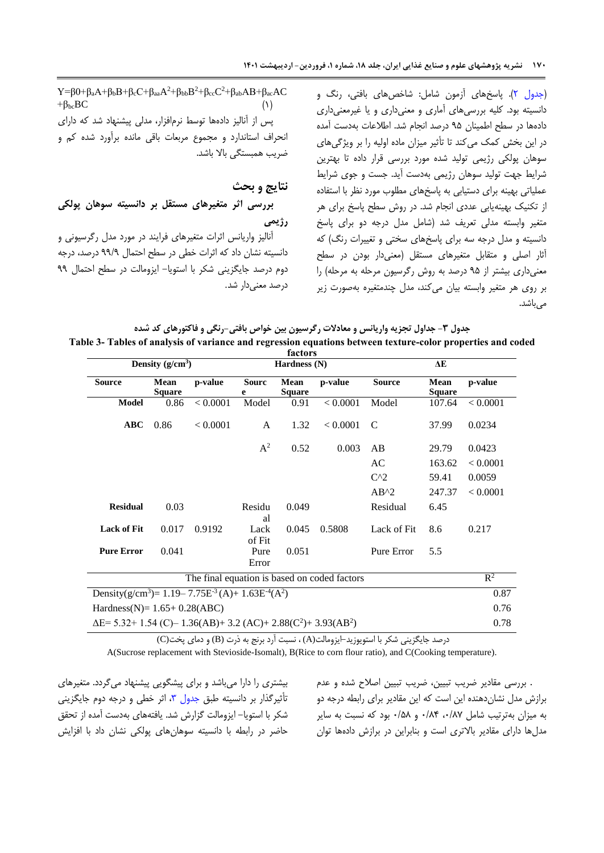<span id="page-5-0"></span>[\)جدول 5\(](#page-4-1). پاسخهای آزمون شامل: شاخصهای بافتی، رنگ و دانسیته بود. کلیه بررسیهای آماری و معنیداری و یا غیرمعنیداری دادهها در سطح اطمینان 92 درصد انجام شد. اطالعات بهدست آمده در این بخش کمک میکند تا تأثیر میزان ماده اولیه را بر ویژگیهای سوهان پولکی رژیمی تولید شده مورد بررسی قرار داده تا بهترین شرایط جهت تولید سوهان رژیمی بهدست آید. جست و جوی شرایط عملیاتی بهینه برای دستیابی به پاسخهای مطلوب مورد نظر با استفاده از تکنیک بهینهیابی عددی انجام شد. در روش سطح پاسخ برای هر متغیر وابسته مدلی تعریف شد )شامل مدل درجه دو برای پاسخ دانسیته و مدل درجه سه برای پاسخهای سختی و تغییرات رنگ( که آثار اصلی و متقابل متغیرهای مستقل )معنیدار بودن در سطح معنیداری بیشتر از ۹۵ درصد به روش رگرسیون مرحله به مرحله) را بر روی هر متغیر وابسته بیان میکند، مدل چندمتغیره بهصورت زیر مے ،باشد.

 $Y=\beta 0+\beta_aA+\beta_bB+\beta_cC+\beta_{aa}A^2+\beta_{bb}B^2+\beta_{cc}C^2+\beta_{ab}AB+\beta_{ac}AC$  $+\beta_{bc}BC$ پس از آنالیز دادهها توسط نرمافزار، مدلی پیشنهاد شد که دارای انحراف استاندارد و مجموع مربعات باقی مانده برآورد شده کم و ضریب همبستگی باال باشد.

# **نتایج و بحث بررسی اثر متغیرهای مستقل بر دانسیته سوهان پولکی رژیمی**

آنالیز واریانس اثرات متغیرهای فرایند در مورد مدل رگرسیونی و دانسیته نشان داد که اثرات خطی در سطح احتمال 99/9 درصد، درجه دوم درصد جایگزینی شکر با استویا- ایزومالت در سطح احتمال 99 درصد معنیدار شد.

| جدول ۳- جداول تجزیه واریانس و معادلات رگرسیون بین خواص بافتی-رنگی و فاکتورهای کد شده                        |
|-------------------------------------------------------------------------------------------------------------|
| Table 3- Tables of analysis of variance and regression equations between texture-color properties and coded |
| footove                                                                                                     |

| Density $(g/cm^3)$                                                                             |                                                                                                  |          | 1actul 5<br>Hardness (N) |                       |          | ΔE             |                       |          |
|------------------------------------------------------------------------------------------------|--------------------------------------------------------------------------------------------------|----------|--------------------------|-----------------------|----------|----------------|-----------------------|----------|
| <b>Source</b>                                                                                  | Mean<br><b>Square</b>                                                                            | p-value  | <b>Sourc</b><br>e        | Mean<br><b>Square</b> | p-value  | <b>Source</b>  | Mean<br><b>Square</b> | p-value  |
| <b>Model</b>                                                                                   | 0.86                                                                                             | < 0.0001 | Model                    | 0.91                  | < 0.0001 | Model          | 107.64                | < 0.0001 |
| ABC                                                                                            | 0.86                                                                                             | < 0.0001 | A                        | 1.32                  | < 0.0001 | C              | 37.99                 | 0.0234   |
|                                                                                                |                                                                                                  |          | $A^2$                    | 0.52                  | 0.003    | AB             | 29.79                 | 0.0423   |
|                                                                                                |                                                                                                  |          |                          |                       |          | AC             | 163.62                | < 0.0001 |
|                                                                                                |                                                                                                  |          |                          |                       |          | $C^{\wedge}2$  | 59.41                 | 0.0059   |
|                                                                                                |                                                                                                  |          |                          |                       |          | $AB^{\wedge}2$ | 247.37                | < 0.0001 |
| <b>Residual</b>                                                                                | 0.03                                                                                             |          | Residu<br>al             | 0.049                 |          | Residual       | 6.45                  |          |
| <b>Lack of Fit</b>                                                                             | 0.017                                                                                            | 0.9192   | Lack<br>of Fit           | 0.045                 | 0.5808   | Lack of Fit    | 8.6                   | 0.217    |
| <b>Pure Error</b>                                                                              | 0.041                                                                                            |          | Pure<br>Error            | 0.051                 |          | Pure Error     | 5.5                   |          |
|                                                                                                | The final equation is based on coded factors                                                     |          |                          |                       |          |                | $\mathbb{R}^2$        |          |
|                                                                                                | Density(g/cm <sup>3</sup> )= 1.19–7.75E <sup>-3</sup> (A)+ 1.63E <sup>-4</sup> (A <sup>2</sup> ) |          |                          |                       |          |                | 0.87                  |          |
|                                                                                                | Hardness(N)= $1.65+0.28(ABC)$                                                                    |          |                          |                       |          |                |                       | 0.76     |
| $\Delta E$ = 5.32+ 1.54 (C)– 1.36(AB)+ 3.2 (AC)+ 2.88(C <sup>2</sup> )+ 3.93(AB <sup>2</sup> ) |                                                                                                  |          |                          |                       |          |                | 0.78                  |          |

درصد جایگزینی شکر با استویوزید-ایزومالت(A (، نسبت آرد برنج به ذرت (B (و دمای پخت(C(

A(Sucrose replacement with Stevioside-Isomalt), B(Rice to corn flour ratio), and C(Cooking temperature).

بیشتری را دارا میباشد و برای پیشگویی پیشنهاد میگردد. متغیرهای تأثیرگذار بر دانسیته طبق جدول ۳، اثر خطی و درجه دوم جایگزینی شکر با استویا- ایزومالت گزارش شد. یافتههای بهدست آمده از تحقق حاضر در رابطه با دانسیته سوهانهای پولکی نشان داد با افزایش

. بررسی مقادیر ضریب تبیین، ضریب تبیین اصالح شده و عدم برازش مدل نشاندهنده این است که این مقادیر برای رابطه درجه دو به میزان بهترتیب شامل ،5/85 5/82 و 5/28 بود که نسبت به سایر مدلها دارای مقادیر باالتری است و بنابراین در برازش دادهها توان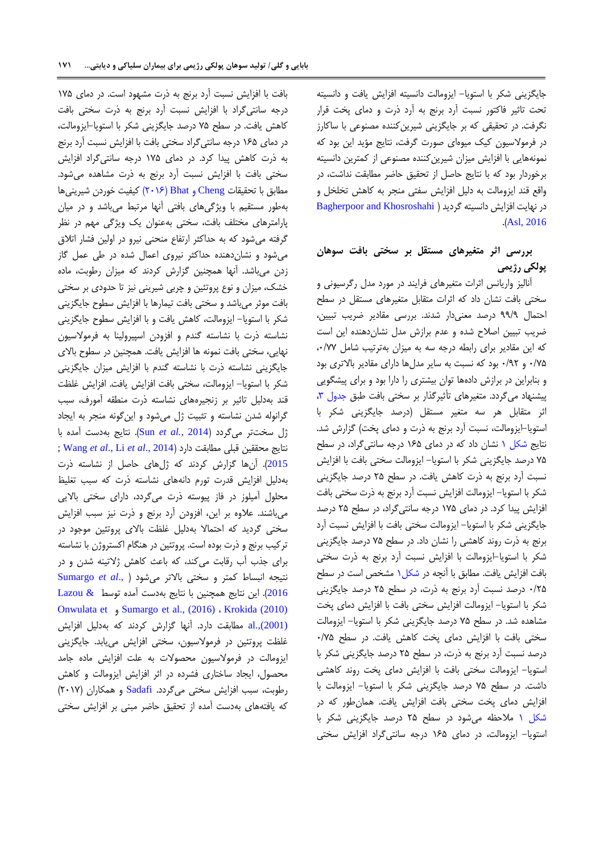جایگزینی شکر با استویا- ایزومالت دانسیته افزایش یافت و دانسیته تحت تاثیر فاکتور نسبت آرد برنج به آرد ذرت و دمای پخت قرار نگرفت. در تحقیقی که بر جایگزینی شیرینکننده مصنوعی با ساکارز در فرموالسیون کیک میوهای صورت گرفت، نتایج مؤید این بود که نمونههایی با افزایش میزان شیرینکننده مصنوعی از کمترین دانسیته برخوردار بود که با نتایج حاصل از تحقیق حاضر مطابقت نداشت، در واقع قند ایزومالت به دلیل افزایش سفتی منجر به کاهش تخلخل و در نهایت افزایش دانسیته گردید ( Bagherpoor and Khosroshahi .([Asl, 2016](#page-11-2)).

# **بررسی اثر متغیرهای مستقل بر سختی بافت سوهان پولکی رژیمی**

آنالیز واریانس اثرات متغیرهای فرایند در مورد مدل رگرسیونی و سختی بافت نشان داد که اثرات متقابل متغیرهای مستقل در سطح احتمال 99/9 درصد معنیدار شدند. بررسی مقادیر ضریب تبیین، ضریب تبیین اصالح شده و عدم برازش مدل نشاندهنده این است که این مقادیر برای رابطه درجه سه به میزان بهترتیب شامل ،5/55 5/52 و 5/95 بود که نسبت به سایر مدلها دارای مقادیر باالتری بود و بنابراین در برازش دادهها توان بیشتری را دارا بود و برای پیشگویی پیشنهاد میگردد. متغیرهای تأثیرگذار بر سختی بافت طبق [جدول ،7](#page-5-0)  اثر متقابل هر سه متغیر مستقل )درصد جایگزینی شکر با استویا-ایزومالت، نسبت آرد برنج به ذرت و دمای پخت( گزارش شد. نتایج [شکل 0](#page-7-0) نشان داد که در دمای 062 درجه سانتیگراد، در سطح 52 درصد جایگزینی شکر با استویا- ایزومالت سختی بافت با افزایش نسبت آرد برنج به ذرت کاهش یافت. در سطح 52 درصد جایگزینی شکر با استویا- ایزومالت افزایش نسبت آرد برنج به ذرت سختی بافت افزایش پیدا کرد. در دمای 052 درجه سانتیگراد، در سطح 52 درصد جایگزینی شکر با استویا- ایزومالت سختی بافت با افزایش نسبت آرد برنج به ذرت روند کاهشی را نشان داد. در سطح 52 درصد جایگزینی شکر با استویا-ایزومالت با افزایش نسبت آرد برنج به ذرت سختی بافت افزایش یافت. مطابق با آنچه در [شکل0](#page-7-0) مشخص است در سطح 5/52 درصد نسبت آرد برنج به ذرت، در سطح 52 درصد جایگزینی شکر با استویا- ایزومالت افزایش سختی بافت با افزایش دمای پخت مشاهده شد. در سطح 52 درصد جایگزینی شکر با استویا- ایزومالت سختی بافت با افزایش دمای پخت کاهش یافت. در سطح 5/52 درصد نسبت آرد برنج به ذرت، در سطح 52 درصد جایگزینی شکر با استویا- ایزومالت سختی بافت با افزایش دمای پخت روند کاهشی داشت. در سطح 52 درصد جایگزینی شکر با استویا- ایزومالت با افزایش دمای پخت سختی بافت افزایش یافت. همانطور که در [شکل 0](#page-7-0) مالحظه میشود در سطح 52 درصد جایگزینی شکر با استویا- ایزومالت، در دمای 062 درجه سانتیگراد افزایش سختی

بافت با افزایش نسبت آرد برنج به ذرت مشهود است. در دمای 052 درجه سانتیگراد با افزایش نسبت آرد برنج به ذرت سختی بافت کاهش یافت. در سطح 52 درصد جایگزینی شکر با استویا-ایزومالت، در دمای 062 درجه سانتیگراد سختی بافت با افزایش نسبت آرد برنج به ذرت کاهش پیدا کرد. در دمای 052 درجه سانتیگراد افزایش سختی بافت با افزایش نسبت آرد برنج به ذرت مشاهده میشود. مطابق با تحقیقات [Cheng](#page-11-3) و Bhat( 5506 )کیفیت خوردن شیرینیها بهطور مستقیم با ویژگیهای بافتی آنها مرتبط میباشد و در میان پارامترهای مختلف بافت، سختی بهعنوان یک ویژگی مهم در نظر گرفته میشود که به حداکثر ارتفاع منحنی نیرو در اولین فشار اتالق میشود و نشاندهنده حداکثر نیروی اعمال شده در طی عمل گاز زدن میباشد. آنها همچنین گزارش کردند که میزان رطوبت، ماده خشک، میزان و نوع پروتئین و چربی شیرینی نیز تا حدودی بر سختی بافت موثر میباشد و سختی بافت تیمارها با افزایش سطوح جایگزینی شکر با استویا- ایزومالت، کاهش یافت و با افزایش سطوح جایگزینی نشاسته ذرت با نشاسته گندم و افزودن اسپیرولینا به فرموالسیون نهایی، سختی بافت نمونه ها افزایش یافت. همچنین در سطوح باالی جایگزینی نشاسته ذرت با نشاسته گندم با افزایش میزان جایگزینی شکر با استویا- ایزومالت، سختی بافت افزایش یافت. افزایش غلظت قند بهدلیل تاثیر بر زنجیرههای نشاسته ذرت منطقه آمورف، سبب گرانوله شدن نشاسته و تثبیت ژل میشود و اینگونه منجر به ایجاد ژل سختتر میگردد )[2014](#page-12-5) *.*,*al et* Sun). نتایج بهدست آمده با ; [Wang](#page-12-13) *et al*., Li *et al*[., 2014](#page-12-12)( دارد مطابقت قبلی محققین نتایج [2015](#page-12-13)(. آنها گزارش کردند که ژلهای حاصل از نشاسته ذرت بهدلیل افزایش قدرت تورم دانههای نشاسته ذرت که سبب تغلیظ محلول آمیلوز در فاز پیوسته ذرت میگردد، دارای سختی باالیی میباشند. عالوه بر این، افزودن آرد برنج و ذرت نیز سبب افزایش سختی گردید که احتماال بهدلیل غلظت باالی پروتئین موجود در ترکیب برنج و ذرت بوده است. پروتئین در هنگام اکستروژن با نشاسته برای جذب آب رقابت میکند، که باعث کاهش ژالتینه شدن و در نتیجه انبساط کمتر و سختی باالتر میشود [\)](#page-12-14) .,*al et* [Sumargo](#page-12-14) [2016](#page-12-14)(. این نتایج همچنین با نتایج بهدست آمده توسط [& Lazou](#page-12-15) [Onwulata et](#page-12-16) و Sumargo [et al., \(2016\)](#page-12-14) ، [Krokida \(2010\)](#page-12-15) [\(2001\).,al](#page-12-16) مطابقت دارد. آنها گزارش کردند که بهدلیل افزایش غلظت پروتئین در فرموالسیون، سختی افزایش مییابد. جایگزینی ایزومالت در فرموالسیون محصوالت به علت افزایش ماده جامد محصول، ایجاد ساختاری فشرده در اثر افزایش ایزومالت و کاهش رطوبت، سبب افزایش سختی میگردد. [Sadafi](#page-12-17) و همکاران )5505( که یافتههای بهدست آمده از تحقیق حاضر مبنی بر افزایش سختی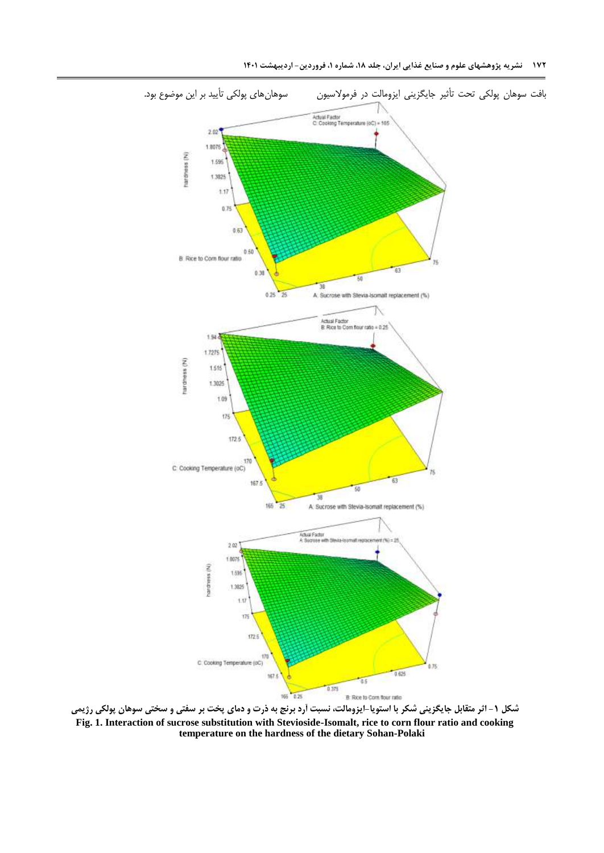

<span id="page-7-0"></span>**شکل -1 اثر متقابل جایگزینی شکر با استویا-ایزومالت، نسبت آرد برنج به ذرت و دمای پخت بر سفتی و سختی سوهان پولکی رژیمی Fig. 1. Interaction of sucrose substitution with Stevioside-Isomalt, rice to corn flour ratio and cooking temperature on the hardness of the dietary Sohan-Polaki**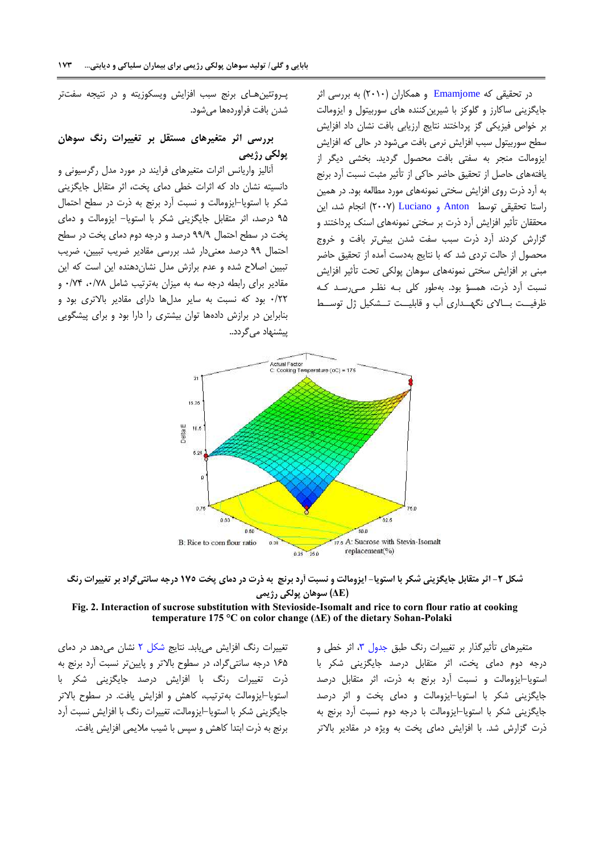شدن بافت فراوردهها میشود.

**پولکی رژیمی**

پیشنهاد مے گردد..

پـروتئینهـای برنج سبب افزایش ویسکوزیته و در نتیجه سفتتر

**بررسی اثر متغیرهای مستقل بر تغییرات رنگ سوهان**

آنالیز واریانس اثرات متغیرهای فرایند در مورد مدل رگرسیونی و دانسیته نشان داد که اثرات خطی دمای پخت، اثر متقابل جایگزینی شکر با استویا-ایزومالت و نسبت آرد برنج به ذرت در سطح احتمال 92 درصد، اثر متقابل جایگزینی شکر با استویا- ایزومالت و دمای پخت در سطح احتمال 99/9 درصد و درجه دوم دمای پخت در سطح احتمال 99 درصد معنیدار شد. بررسی مقادیر ضریب تبیین، ضریب تبیین اصالح شده و عدم برازش مدل نشاندهنده این است که این مقادیر برای رابطه درجه سه به میزان بهترتیب شامل ،5/58 5/52 و 5/55 بود که نسبت به سایر مدلها دارای مقادیر باالتری بود و بنابراین در برازش دادهها توان بیشتری را دارا بود و برای پیشگویی در تحقیقی که [Emamjome](#page-12-18) و همکاران (۲۰۱۰) به بررسی اثر جایگزینی ساکارز و گلوکز با شیرینکننده های سوربیتول و ایزومالت بر خواص فیزیکی گز پرداختند نتایج ارزیابی بافت نشان داد افزایش سطح سوربیتول سبب افزایش نرمی بافت میشود در حالی که افزایش ایزومالت منجر به سفتی بافت محصول گردید. بخشی دیگر از یافتههای حاصل از تحقیق حاضر حاکی از تأثیر مثبت نسبت آرد برنج به آرد ذرت روی افزایش سختی نمونههای مورد مطالعه بود. در همین راستا تحقیقی توسط Anton و [Luciano](#page-11-7)( 5555 )انجام شد، این محققان تأثیر افزایش آرد ذرت بر سختی نمونههای اسنک پرداختند و گزارش کردند آرد ذرت سبب سفت شدن بیشتر بافت و خروج محصول از حالت تردی شد که با نتایج بهدست آمده از تحقیق حاضر مبنی بر افزایش سختی نمونههای سوهان پولکی تحت تأثیر افزایش نسبت آرد ذرت، همسؤ بود. بهطور کلی بـه نظـر مـیرسـد کـه ظرفیــت بــاالی نگهــداری آب و قابلیــت تــشکیل ژل توســط

Actual Factor<br>C: Cooking Temperature (oC) = 175 16.76 JeitaE 10.6  $6.26$ ö 76.0 50.0 B: Rice to corn flour ratio 37.5 A: Sucrose with Stevia-Isomalt replacement(%)  $0.25 - 25.0$ 

**شکل -2 اثر متقابل جایگزینی شکر با استویا- ایزومالت و نسبت آرد برنج به ذرت در دمای پخت 171 درجه سانتیگراد بر تغییرات رنگ )ΔE )سوهان پولکی رژیمی**

#### **Fig. 2. Interaction of sucrose substitution with Stevioside-Isomalt and rice to corn flour ratio at cooking temperature 175 °C on color change (ΔE) of the dietary Sohan-Polaki**

تغییرات رنگ افزایش مییابد. نتایج [شکل 5](#page-8-0) نشان میدهد در دمای 062 درجه سانتیگراد، در سطوح باالتر و پایینتر نسبت آرد برنج به ذرت تغییرات رنگ با افزایش درصد جایگزینی شکر با استویا-ایزومالت بهترتیب، کاهش و افزایش یافت. در سطوح باالتر جایگزینی شکر با استویا-ایزومالت، تغییرات رنگ با افزایش نسبت آرد برنج به ذرت ابتدا کاهش و سپس با شیب مالیمی افزایش یافت.

<span id="page-8-0"></span>متغیرهای تأثیرگذار بر تغییرات رنگ طبق جدول ۳، اثر خطی و درجه دوم دمای پخت، اثر متقابل درصد جایگزینی شکر با استویا-ایزومالت و نسبت آرد برنج به ذرت، اثر متقابل درصد جایگزینی شکر با استویا-ایزومالت و دمای پخت و اثر درصد جایگزینی شکر با استویا-ایزومالت با درجه دوم نسبت آرد برنج به ذرت گزارش شد. با افزایش دمای پخت به ویژه در مقادیر باالتر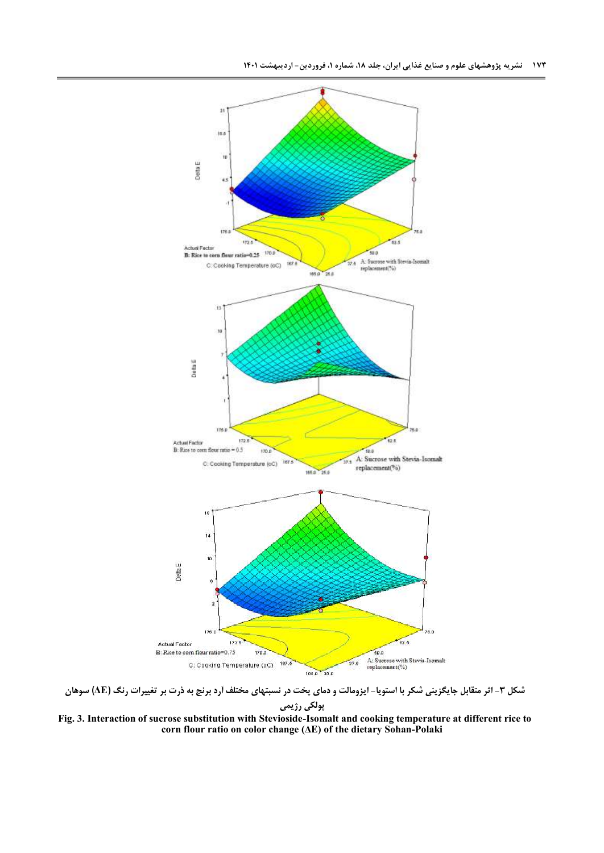

**شکل -3 اثر متقابل جایگزینی شکر با استویا- ایزومالت و دمای پخت در نسبتهای مختلف آرد برنج به ذرت بر تغییرات رنگ )ΔE )سوهان پولکی رژیمی Fig. 3. Interaction of sucrose substitution with Stevioside-Isomalt and cooking temperature at different rice to** 

<span id="page-9-0"></span>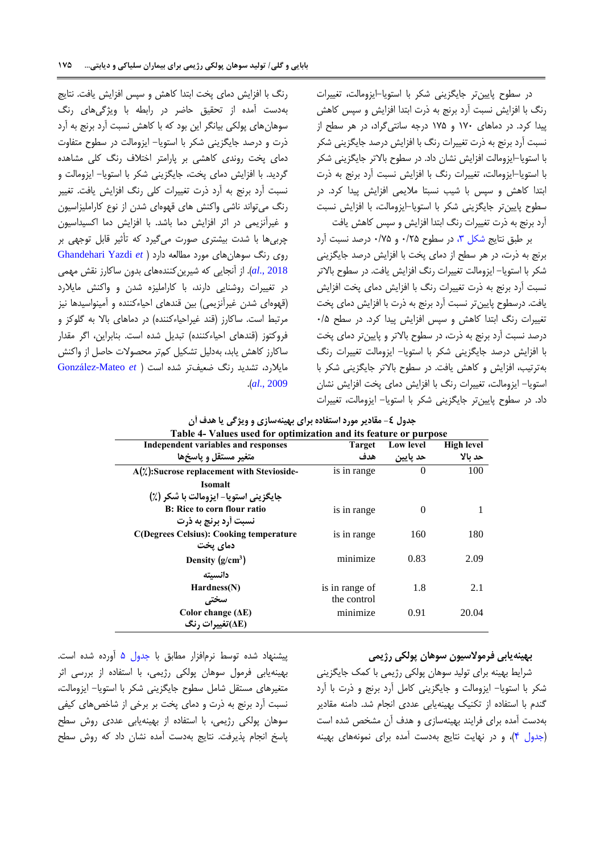رنگ با افزایش دمای پخت ابتدا کاهش و سپس افزایش یافت. نتایج

در سطوح پایینتر جایگزینی شکر با استویا-ایزومالت، تغییرات رنگ با افزایش نسبت آرد برنج به ذرت ابتدا افزایش و سپس کاهش پیدا کرد. در دماهای 055 و 052 درجه سانتیگراد، در هر سطح از نسبت آرد برنج به ذرت تغییرات رنگ با افزایش درصد جایگزینی شکر با استویا-ایزومالت افزایش نشان داد. در سطوح باالتر جایگزینی شکر با استویا-ایزومالت، تغییرات رنگ با افزایش نسبت آرد برنج به ذرت ابتدا کاهش و سپس با شیب نسبتا مالیمی افزایش پیدا کرد. در سطوح پایینتر جایگزینی شکر با استویا-ایزومالت، با افزایش نسبت آرد برنج به ذرت تغییرات رنگ ابتدا افزایش و سپس کاهش یافت

<span id="page-10-0"></span>بر طبق نتایج [شکل](#page-9-0) ،7 در سطوح 5/52 و 5/52 درصد نسبت آرد برنج به ذرت، در هر سطح از دمای پخت با افزایش درصد جایگزینی شکر با استویا- ایزومالت تغییرات رنگ افزایش یافت. در سطوح باالتر نسبت آرد برنج به ذرت تغییرات رنگ با افزایش دمای پخت افزایش یافت. درسطوح پایینتر نسبت آرد برنج به ذرت با افزایش دمای پخت تغییرات رنگ ابتدا کاهش و سپس افزایش پیدا کرد. در سطح 5/2 درصد نسبت آرد برنج به ذرت، در سطوح باالتر و پایینتر دمای پخت با افزایش درصد جایگزینی شکر با استویا- ایزومالت تغییرات رنگ بهترتیب، افزایش و کاهش یافت. در سطوح باالتر جایگزینی شکر با استویا- ایزومالت، تغییرات رنگ با افزایش دمای پخت افزایش نشان داد. در سطوح پایینتر جایگزینی شکر با استویا- ایزومالت، تغییرات

| بهدست آمده از تحقیق حاضر در رابطه با ویژگیهای رنگ                    |
|----------------------------------------------------------------------|
| سوهانهای پولکی بیانگر این بود که با کاهش نسبت آرد برنج به آرد        |
| ذرت و درصد جایگزینی شکر با استویا– ایزومالت در سطوح متفاوت           |
| دمای پخت روندی کاهشی بر پارامتر اختلاف رنگ کلی مشاهده                |
| گردید. با افزایش دمای پخت، جایگزینی شکر با استویا– ایزومالت و        |
| نسبت آرد برنج به آرد ذرت تغییرات کلی رنگ افزایش یافت. تغییر          |
| رنگ میتواند ناشی واکنش های قهوهای شدن از نوع کاراملیزاسیون           |
| و غیرآنزیمی در اثر افزایش دما باشد. با افزایش دما اکسیداسیون         |
| چربیها با شدت بیشتری صورت میگیرد که تأثیر قابل توجهی بر              |
| Ghandehari Yazdi et ) مورد مطالعه دارد                               |
| <i>al.</i> , 2018). از آنجایی که شیرین کنندههای بدون ساکارز نقش مهمی |
| در تغییرات روشنایی دارند، با کاراملیزه شدن و واکنش مایلارد           |
| (قهوهای شدن غیرآنزیمی) بین قندهای احیاءکننده و آمینواسیدها نیز       |
| مرتبط است. ساکارز (قند غیراحیاءکننده) در دماهای بالا به گلوکز و      |
| فروكتوز (قندهاى احياءكننده) تبديل شده است. بنابراين، اگر مقدار       |
| ساكارز كاهش يابد، بهدليل تشكيل كمتر محصولات حاصل از واكنش            |
| González-Mateo et ) ضعیفتر شده است ( González-Mateo et               |
| . (al., 2009)                                                        |

| Table 4- Values used for optimization and its feature or purpose |                |                  |                   |  |  |  |  |  |
|------------------------------------------------------------------|----------------|------------------|-------------------|--|--|--|--|--|
| Independent variables and responses                              | <b>Target</b>  | <b>Low level</b> | <b>High level</b> |  |  |  |  |  |
| متغیر مستقل و پاسخ ها                                            | هدف            | حد پایین         | حد نالا           |  |  |  |  |  |
| $A(\n*)$ : Sucrose replacement with Stevioside-                  | is in range    | $\Omega$         | 100               |  |  |  |  |  |
| Isomalt                                                          |                |                  |                   |  |  |  |  |  |
| جايگزيني استويا- ايزومالت با شكر (٪)                             |                |                  |                   |  |  |  |  |  |
| B: Rice to corn flour ratio                                      | is in range    | 0                | 1                 |  |  |  |  |  |
| نسبت أرد برنج به ذرت                                             |                |                  |                   |  |  |  |  |  |
| <b>C(Degrees Celsius): Cooking temperature</b>                   | is in range    | 160              | 180               |  |  |  |  |  |
| دمای یخت                                                         |                |                  |                   |  |  |  |  |  |
| Density $(g/cm^3)$                                               | minimize       | 0.83             | 2.09              |  |  |  |  |  |
| دانسىتە                                                          |                |                  |                   |  |  |  |  |  |
| Hardness(N)                                                      | is in range of | 1.8              | 2.1               |  |  |  |  |  |
| سختى                                                             | the control    |                  |                   |  |  |  |  |  |
| Color change $(\Delta E)$                                        | minimize       | 0.91             | 20.04             |  |  |  |  |  |
| (AE)تغییرات ,نگ                                                  |                |                  |                   |  |  |  |  |  |

|  | جدول ٤- مقادير مورد استفاده براي بهينهسازي و ويژگي يا هدف آن |  |  |
|--|--------------------------------------------------------------|--|--|
|--|--------------------------------------------------------------|--|--|

پیشنهاد شده توسط نرمافزار مطابق با [جدول 2](#page-11-8) آورده شده است. بهینهیابی فرمول سوهان پولکی رژیمی، با استفاده از بررسی اثر متغیرهای مستقل شامل سطوح جایگزینی شکر با استویا- ایزومالت، نسبت آرد برنج به ذرت و دمای پخت بر برخی از شاخصهای کیفی سوهان پولکی رژیمی، با استفاده از بهینهیابی عددی روش سطح پاسخ انجام پذیرفت. نتایج بهدست آمده نشان داد که روش سطح

#### **بهینهیابی فرموالسیون سوهان پولکی رژیمی**

شرایط بهینه برای تولید سوهان پولکی رژیمی با کمک جایگزینی شکر با استویا- ایزومالت و جایگزینی کامل آرد برنج و ذرت با آرد گندم با استفاده از تکنیک بهینهیابی عددی انجام شد. دامنه مقادیر بهدست آمده برای فرایند بهینهسازی و هدف آن مشخص شده است [\)جدول 2\(](#page-10-0)، و در نهایت نتایج بهدست آمده برای نمونههای بهینه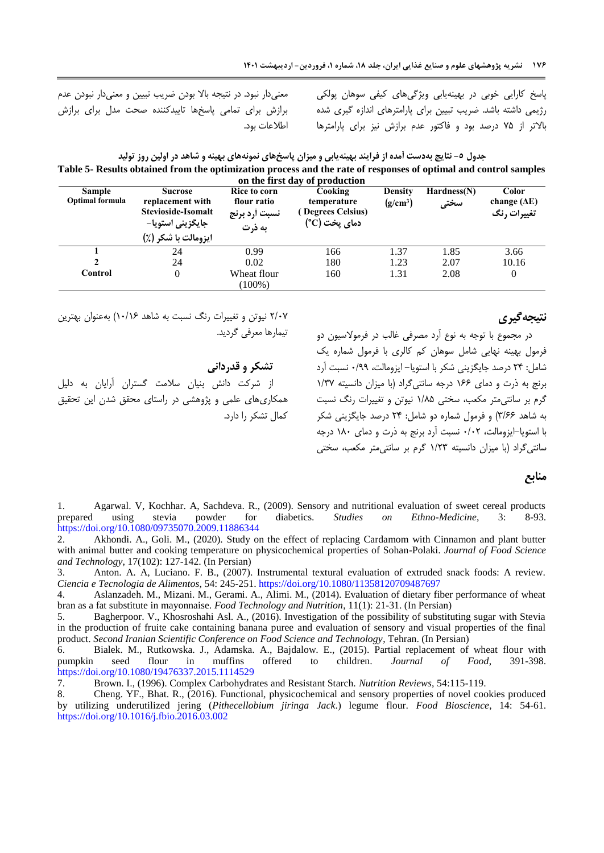پاسخ کارایی خوبی در بهینهیابی ویژگیهای کیفی سوهان پولکی رژیمی داشته باشد. ضریب تبیین برای پارامترهای اندازه گیری شده باالتر از 52 درصد بود و فاکتور عدم برازش نیز برای پارامترها اطالعات بود.

معنیدار نبود. در نتیجه باال بودن ضریب تبیین و معنیدار نبودن عدم برازش برای تمامی پاسخها تاییدکننده صحت مدل برای برازش

| جدول ٥- نتايج بهدست امده از فرايند بهينهيابي و ميزان پاسخهاي نمونههاي بهينه و شاهد در اولين روز توليد            |
|------------------------------------------------------------------------------------------------------------------|
| Table 5- Results obtained from the optimization process and the rate of responses of optimal and control samples |
| an tha Cool Jan af nuaJuation                                                                                    |

| <b>Sample</b><br><b>Optimal formula</b> | Sucrose<br>replacement with<br>Stevioside-Isomalt<br>جايگزيني استويا–<br>ایزومالت با شکر (٪) | Rice to corn<br>flour ratio<br>نسبت أرد برنج<br>به ذرت | Cooking<br>temperature<br>Degrees Celsius)<br>دمای یخت (C°) | <b>Density</b><br>$(g/cm^3)$ | Hardness(N)<br>سختى | Color<br>change $(\Delta E)$<br>تغییرات رنگ |
|-----------------------------------------|----------------------------------------------------------------------------------------------|--------------------------------------------------------|-------------------------------------------------------------|------------------------------|---------------------|---------------------------------------------|
|                                         | 24                                                                                           | 0.99                                                   | 166                                                         | 1.37                         | 1.85                | 3.66                                        |
| 2                                       | 24                                                                                           | 0.02                                                   | 180                                                         | 1.23                         | 2.07                | 10.16                                       |
| Control                                 | 0                                                                                            | Wheat flour<br>$(100\%)$                               | 160                                                         | 1.31                         | 2.08                | 0                                           |

5/55 نیوتن و تغییرات رنگ نسبت به شاهد 05/06( بهعنوان بهترین تیمارها معرفی گردید.

**تشکر و قدردانی** از شرکت دانش بنیان سالمت گستران آرایان به دلیل همکاریهای علمی و پژوهشی در راستای محقق شدن این تحقیق کمال تشکر را دارد.

<span id="page-11-8"></span>**نتیجهگیری**

در مجموع با توجه به نوع آرد مصرفی غالب در فرموالسیون دو فرمول بهینه نهایی شامل سوهان کم کالری با فرمول شماره یک شامل: 52 درصد جایگزینی شکر با استویا- ایزومالت، 5/99 نسبت آرد برنج به ذرت و دمای 066 درجه سانتیگراد )با میزان دانسیته 0/75 گرم بر سانتیمتر مکعب، سختی 0/82 نیوتن و تغییرات رنگ نسبت به شاهد 7/66( و فرمول شماره دو شامل: 52 درصد جایگزینی شکر با استویا-ایزومالت، 5/55 نسبت آرد برنج به ذرت و دمای 085 درجه سانتیگراد )با میزان دانسیته 0/57 گرم بر سانتیمتر مکعب، سختی

#### **منابع**

<span id="page-11-0"></span>1. Agarwal. V, Kochhar. A, Sachdeva. R., (2009). Sensory and nutritional evaluation of sweet cereal products prepared using stevia powder for diabetics. *Studies on Ethno-Medicine*, 3: 8-93. <https://doi.org/10.1080/09735070.2009.11886344>

<span id="page-11-5"></span>2. Akhondi. A., Goli. M., (2020). Study on the effect of replacing Cardamom with Cinnamon and plant butter with animal butter and cooking temperature on physicochemical properties of Sohan-Polaki. *Journal of Food Science and Technology*, 17(102): 127-142. (In Persian)

<span id="page-11-7"></span>3. Anton. A. A, Luciano. F. B., (2007). Instrumental textural evaluation of extruded snack foods: A review. *Ciencia e Tecnologia de Alimentos*, 54: 245-251. <https://doi.org/10.1080/11358120709487697>

<span id="page-11-1"></span>4. Aslanzadeh. M., Mizani. M., Gerami. A., Alimi. M., (2014). Evaluation of dietary fiber performance of wheat bran as a fat substitute in mayonnaise. *Food Technology and Nutrition*, 11(1): 21-31. (In Persian)

<span id="page-11-2"></span>5. Bagherpoor. V., Khosroshahi Asl. A., (2016). Investigation of the possibility of substituting sugar with Stevia in the production of fruite cake containing banana puree and evaluation of sensory and visual properties of the final product. *Second Iranian Scientific Conference on Food Science and Technology*, Tehran. (In Persian)

<span id="page-11-6"></span>6. Bialek. M., Rutkowska. J., Adamska. A., Bajdalow. E., (2015). Partial replacement of wheat flour with pumpkin seed flour in muffins offered to children. *Journal of Food*, 391-398. <https://doi.org/10.1080/19476337.2015.1114529>

<span id="page-11-4"></span>7. Brown. I., (1996). Complex Carbohydrates and Resistant Starch. *Nutrition Reviews*, 54:115-119.

<span id="page-11-3"></span>8. Cheng. YF., Bhat. R., (2016). Functional, physicochemical and sensory properties of novel cookies produced by utilizing underutilized jering (*Pithecellobium jiringa Jack*.) legume flour. *Food Bioscience*, 14: 54-61. <https://doi.org/10.1016/j.fbio.2016.03.002>